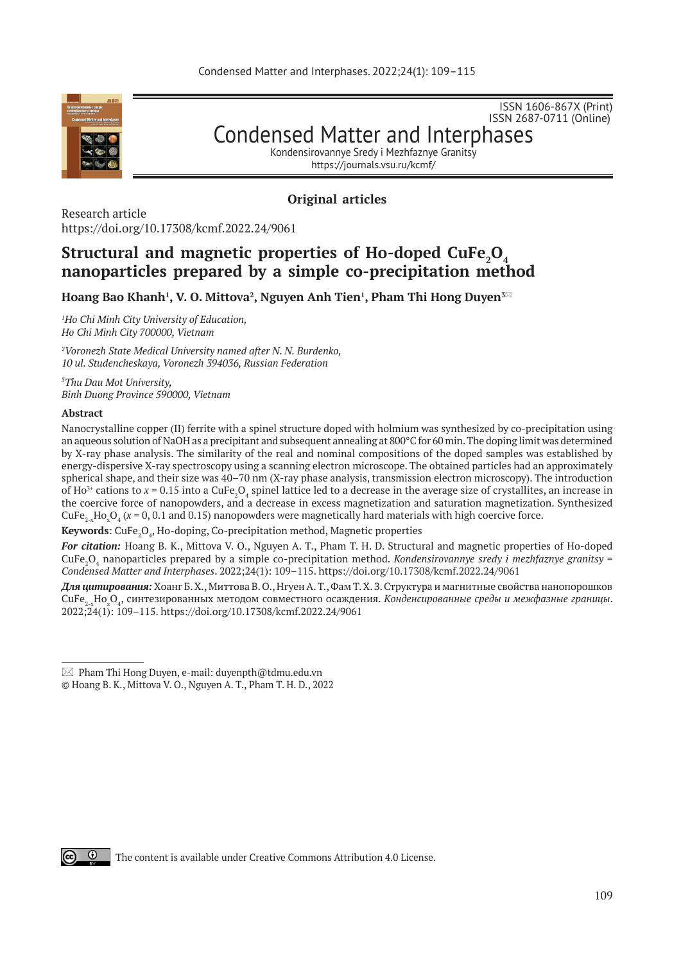

ISSN 2687-0711 (Online) Condensed Matter and Interphases

ISSN 1606-867Х (Print)

Kondensirovannye Sredy i Mezhfaznye Granitsy https://journals.vsu.ru/kcmf/

# **Original articles**

Research article https://doi.org/10.17308/kcmf.2022.24/9061

# **Structural and magnetic properties of Ho-doped CuFe<sup>2</sup> O4 nanoparticles prepared by a simple co-precipitation method**

 $\bm{\mathsf{H}}$ oang Bao Khanh<sup>1</sup>, V. O. Mittova<sup>2</sup>, Nguyen Anh Tien<sup>1</sup>, Pham Thi Hong Duyen $^{3\boxtimes}$ 

*1 Ho Chi Minh City University of Education, Ho Chi Minh City 700000, Vietnam*

*2 Voronezh State Medical University named after N. N. Burdenko, 10 ul. Studencheskaya, Voronezh 394036, Russian Federation*

*3 Thu Dau Mot University, Binh Duong Province 590000, Vietnam*

#### **Abstract**

Nanocrystalline copper (II) ferrite with a spinel structure doped with holmium was synthesized by co-precipitation using an aqueous solution of NaOH as a precipitant and subsequent annealing at 800°C for 60 min. The doping limit was determined by X-ray phase analysis. The similarity of the real and nominal compositions of the doped samples was established by energy-dispersive X-ray spectroscopy using a scanning electron microscope. The obtained particles had an approximately spherical shape, and their size was 40–70 nm (X-ray phase analysis, transmission electron microscopy). The introduction of Ho<sup>3+</sup> cations to  $x = 0.15$  into a CuFe<sub>2</sub>O<sub>4</sub> spinel lattice led to a decrease in the average size of crystallites, an increase in the coercive force of nanopowders, and a decrease in excess magnetization and saturation magnetization. Synthesized CuFe<sub>2-x</sub>Ho<sub>x</sub>O<sub>4</sub> ( $x = 0, 0.1$  and 0.15) nanopowders were magnetically hard materials with high coercive force.

**Keywords:** CuFe<sub>2</sub>O<sub>4</sub>, Ho-doping, Co-precipitation method, Magnetic properties

*For citation:* Hoang B. K., Mittova V. O., Nguyen A. T., Pham T. H. D. Structural and magnetic properties of Ho-doped CuFe<sub>2</sub>O<sub>4</sub> nanoparticles prepared by a simple co-precipitation method. *Kondensirovannye sredy i mezhfaznye granitsy* = *Condensed Matter and Interphases*. 2022;24(1): 109–115. https://doi.org/10.17308/kcmf.2022.24/9061

*Для цитирования:* Хоанг Б. Х., Миттова В. О., Нгуен А. Т., Фам Т. Х. З. Структура и магнитные свойства нанопорошков CuFe2-x Hox O4 , синтезированных методом совместного осаждения. *Конденсированные среды и межфазные границы*. 2022;24(1): 109–115. https://doi.org/10.17308/kcmf.2022.24/9061



 $\boxtimes$  Pham Thi Hong Duyen, e-mail: duyenpth@tdmu.edu.vn

<sup>©</sup> Hoang B. K., Mittova V. O., Nguyen A. T., Pham T. H. D., 2022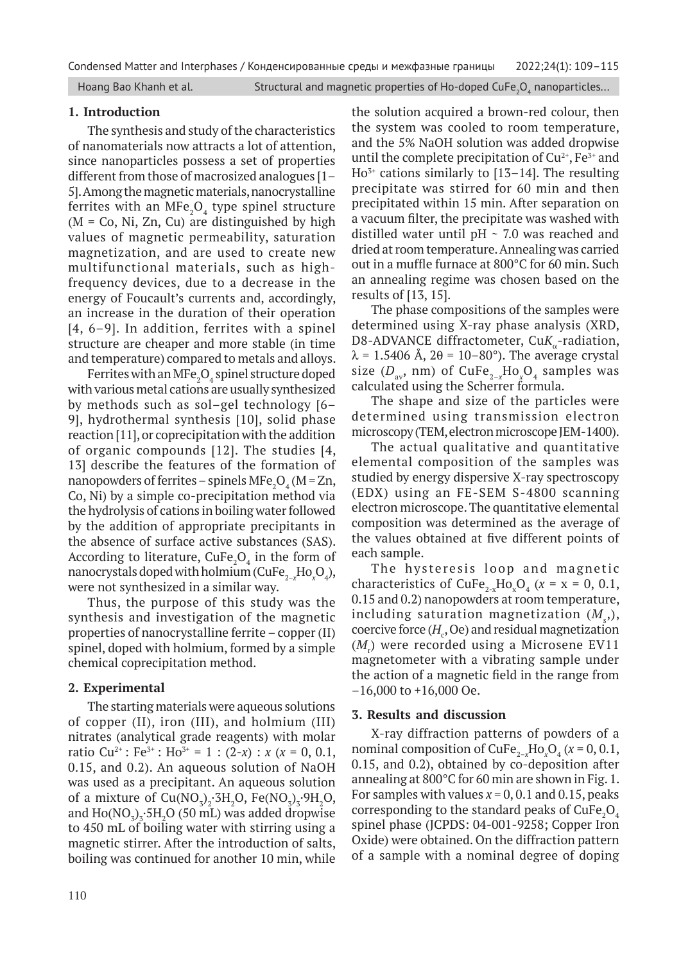#### **1. Introduction**

The synthesis and study of the characteristics of nanomaterials now attracts a lot of attention, since nanoparticles possess a set of properties different from those of macrosized analogues [1– 5]. Among the magnetic materials, nanocrystalline ferrites with an  $MFe<sub>2</sub>O<sub>4</sub>$  type spinel structure  $(M = Co, Ni, Zn, Cu)$  are distinguished by high values of magnetic permeability, saturation magnetization, and are used to create new multifunctional materials, such as highfrequency devices, due to a decrease in the energy of Foucault's currents and, accordingly, an increase in the duration of their operation [4, 6–9]. In addition, ferrites with a spinel structure are cheaper and more stable (in time and temperature) compared to metals and alloys.

Ferrites with an MFe ${_{2}O_{4}}$  spinel structure doped with various metal cations are usually synthesized by methods such as sol–gel technology [6– 9], hydrothermal synthesis [10], solid phase reaction [11], or coprecipitation with the addition of organic compounds [12]. The studies [4, 13] describe the features of the formation of nanopowders of ferrites – spinels MFe<sub>2</sub>O<sub>4</sub> (M = Zn, Co, Ni) by a simple co-precipitation method via the hydrolysis of cations in boiling water followed by the addition of appropriate precipitants in the absence of surface active substances (SAS). According to literature,  $\text{CuFe}_2\text{O}_4$  in the form of nanocrystals doped with holmium (CuFe<sub>2-x</sub>Ho<sub>x</sub>O<sub>4</sub>), were not synthesized in a similar way.

Thus, the purpose of this study was the synthesis and investigation of the magnetic properties of nanocrystalline ferrite – copper (II) spinel, doped with holmium, formed by a simple chemical coprecipitation method.

## **2. Experimental**

The starting materials were aqueous solutions of copper (II), iron (III), and holmium (III) nitrates (analytical grade reagents) with molar ratio Cu<sup>2+</sup>: Fe<sup>3+</sup>: Ho<sup>3+</sup> = 1 : (2-*x*) : *x* (*x* = 0, 0.1, 0.15, and 0.2). An aqueous solution of NaOH was used as a precipitant. An aqueous solution of a mixture of  $Cu(NO_3)_2 \cdot 3H_2O$ ,  $Fe(NO_3)_3 \cdot 9H_2O$ , and  $\rm Ho(NO_3)_3\text{-}5H_2O$  (50 mL) was added dropwise to 450 mL of boiling water with stirring using a magnetic stirrer. After the introduction of salts, boiling was continued for another 10 min, while

the solution acquired a brown-red colour, then the system was cooled to room temperature, and the 5% NaOH solution was added dropwise until the complete precipitation of  $Cu^{2+}$ , Fe<sup>3+</sup> and  $Ho<sup>3+</sup>$  cations similarly to [13–14]. The resulting precipitate was stirred for 60 min and then precipitated within 15 min. After separation on a vacuum filter, the precipitate was washed with distilled water until pH ~ 7.0 was reached and dried at room temperature. Annealing was carried out in a muffle furnace at 800°C for 60 min. Such an annealing regime was chosen based on the results of [13, 15].

The phase compositions of the samples were determined using X-ray phase analysis (XRD, D8-ADVANCE diffractometer, CuK<sub>a</sub>-radiation,  $\lambda$  = 1.5406 Å, 2 $\theta$  = 10–80°). The average crystal size ( $D_{av}$ , nm) of CuFe<sub>2-x</sub>Ho<sub>x</sub>O<sub>4</sub> samples was calculated using the Scherrer formula.

The shape and size of the particles were determined using transmission electron microscopy (TEM, electron microscope JEM‑1400).

The actual qualitative and quantitative elemental composition of the samples was studied by energy dispersive X-ray spectroscopy (EDX) using an FE-SEM S-4800 scanning electron microscope. The quantitative elemental composition was determined as the average of the values obtained at five different points of each sample.

The hysteresis loop and magnetic characteristics of  $CuFe_{2-x}Ho_xO_4$  ( $x = x = 0, 0.1,$ 0.15 and 0.2) nanopowders at room temperature, including saturation magnetization  $(M_{\rm s}^{\phantom{\dag}}),$  $\mathop{\mathrm{coercive}}$  force  $(H_c, \mathop{\mathrm{Oe}})$  and residual magnetization (*M*<sub>r</sub>) were recorded using a Microsene EV11 magnetometer with a vibrating sample under the action of a magnetic field in the range from –16,000 to +16,000 Oe.

## **3. Results and discussion**

X-ray diffraction patterns of powders of a nominal composition of  $CuFe_{2-x}Ho_xO_4$  ( $x = 0, 0.1$ , 0.15, and 0.2), obtained by co-deposition after annealing at 800°C for 60 min are shown in Fig. 1. For samples with values  $x = 0, 0.1$  and 0.15, peaks corresponding to the standard peaks of  $\text{CuFe}_{2}\text{O}_4$ spinel phase (JCPDS: 04-001-9258; Copper Iron Oxide) were obtained. On the diffraction pattern of a sample with a nominal degree of doping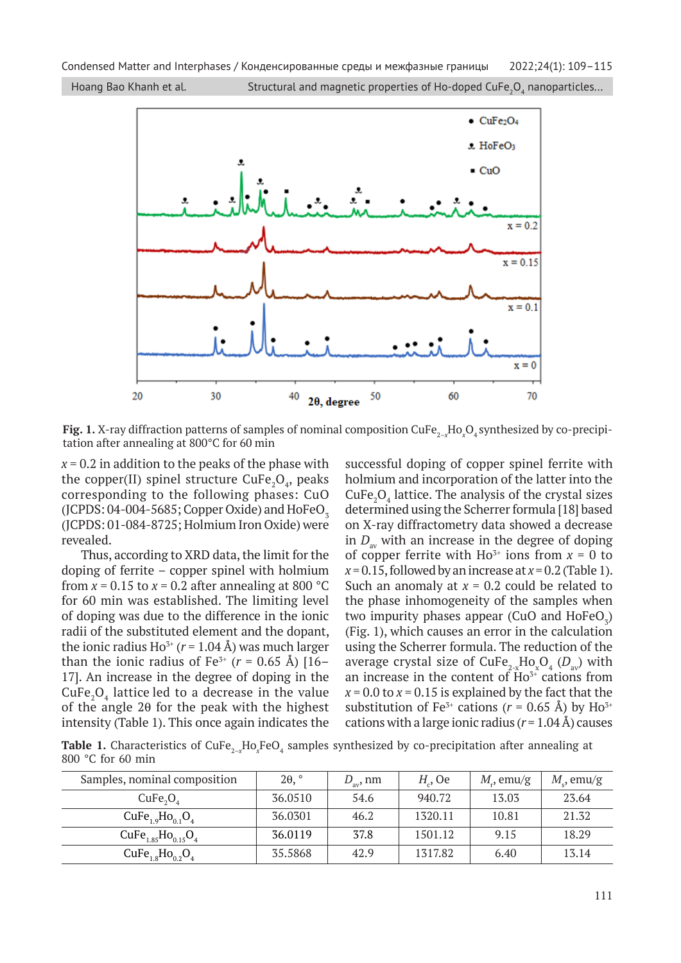

**Fig. 1.** X-ray diffraction patterns of samples of nominal composition CuFe $_{2-x}$ Ho $_{x}$ O $_{4}$ synthesized by co-precipitation after annealing at 800°С for 60 min

*х* = 0.2 in addition to the peaks of the phase with the copper(II) spinel structure  $\text{CuFe}_2\text{O}_4$ , peaks corresponding to the following phases: CuO  $(JCPDS: 04-004-5685; Copper Oxide)$  and HoFeO<sub>z</sub> (JCPDS: 01-084-8725; Holmium Iron Oxide) were revealed.

Thus, according to XRD data, the limit for the doping of ferrite – copper spinel with holmium from  $x = 0.15$  to  $x = 0.2$  after annealing at 800 °C for 60 min was established. The limiting level of doping was due to the difference in the ionic radii of the substituted element and the dopant, the ionic radius Ho<sup>3+</sup> ( $r = 1.04$  Å) was much larger than the ionic radius of  $Fe^{3+}$  ( $r = 0.65$  Å) [16– 17]. An increase in the degree of doping in the  $\text{CuFe}_2\text{O}_4$  lattice led to a decrease in the value of the angle  $2\theta$  for the peak with the highest intensity (Table 1). This once again indicates the

successful doping of copper spinel ferrite with holmium and incorporation of the latter into the  $\text{CuFe}_2\text{O}_4$  lattice. The analysis of the crystal sizes determined using the Scherrer formula [18] based on X-ray diffractometry data showed a decrease in  $D_{av}$  with an increase in the degree of doping of copper ferrite with  $Ho^{3+}$  ions from  $x = 0$  to  $x = 0.15$ , followed by an increase at  $x = 0.2$  (Table 1). Such an anomaly at  $x = 0.2$  could be related to the phase inhomogeneity of the samples when two impurity phases appear (CuO and  $HoFeO<sub>3</sub>$ ) (Fig. 1), which causes an error in the calculation using the Scherrer formula. The reduction of the average crystal size of CuFe<sub>2-x</sub>Ho<sub>x</sub>O<sub>4</sub> (D<sub>av</sub>) with an increase in the content of  $\overline{H}$ o<sup>3+</sup> cations from  $x = 0.0$  to  $x = 0.15$  is explained by the fact that the substitution of Fe<sup>3+</sup> cations ( $r = 0.65$  Å) by Ho<sup>3+</sup> cations with a large ionic radius  $(r = 1.04 \text{ Å})$  causes

**Table 1.** Characteristics of CuFe<sub>2-x</sub>Ho<sub>x</sub>FeO<sub>4</sub> samples synthesized by co-precipitation after annealing at 800 °С for 60 min

| Samples, nominal composition     | $2\theta$ , $\degree$ | $D_{av}$ , nm | $Ha$ , Oe | $M_{\nu}$ , emu/g | $Me$ , emu/g |
|----------------------------------|-----------------------|---------------|-----------|-------------------|--------------|
| CuFe <sub>2</sub> O <sub>4</sub> | 36.0510               | 54.6          | 940.72    | 13.03             | 23.64        |
| $CuFe1.9Ho0.1O4$                 | 36.0301               | 46.2          | 1320.11   | 10.81             | 21.32        |
| $CuFe1.85Ho0.15O4$               | 36.0119               | 37.8          | 1501.12   | 9.15              | 18.29        |
| $CuFe18Ho02O4$                   | 35.5868               | 42.9          | 1317.82   | 6.40              | 13.14        |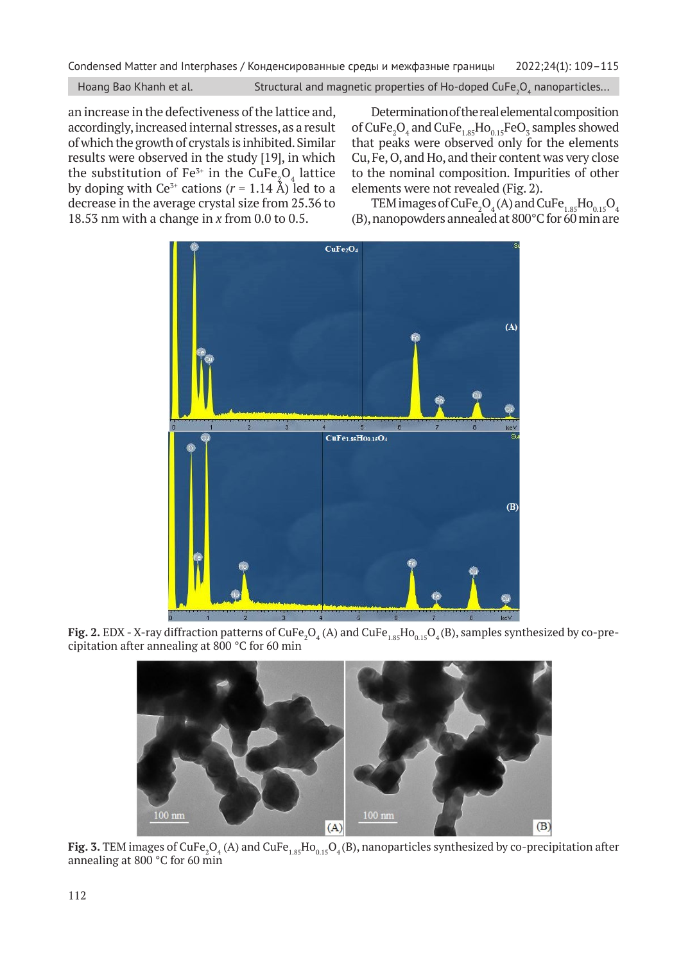an increase in the defectiveness of the lattice and, accordingly, increased internal stresses, as a result of which the growth of crystals is inhibited. Similar results were observed in the study [19], in which the substitution of Fe $^{3+}$  in the CuFe $_{2}^{\ } \mathrm{O}_{4}$  lattice by doping with  $Ce^{3+}$  cations  $(r = 1.14 \text{ Å})$  led to a decrease in the average crystal size from 25.36 to 18.53 nm with a change in *x* from 0.0 to 0.5.

Determination of the real elemental composition of  $\text{CuFe}_2\text{O}_4$  and  $\text{CuFe}_{1.85}\text{Ho}_{0.15}\text{FeO}_3$  samples showed that peaks were observed only for the elements Cu, Fe, O, and Ho, and their content was very close to the nominal composition. Impurities of other elements were not revealed (Fig. 2).

TEM images of  $\mathrm{CuFe}_2\mathrm{O}_4$  (A) and  $\mathrm{CuFe}_{1.85}\mathrm{Ho}_{0.15}\mathrm{O}_4$ (B), nanopowders annealed at  $800^{\circ}$ C for 60 min are



**Fig. 2.** EDX - X-ray diffraction patterns of CuFe<sub>2</sub>O<sub>4</sub> (A) and CuFe $_{1.85}$ Ho $_{0.15}$ O<sub>4</sub> (B), samples synthesized by co-precipitation after annealing at 800 °C for 60 min



 ${\tt Fig. 3.~TEM}$  images of  $\rm CuFe_2O_4$  (A) and  $\rm CuFe_{1.85}Ho_{0.15}O_4(B)$ , nanoparticles synthesized by co-precipitation after annealing at 800 °C for 60 min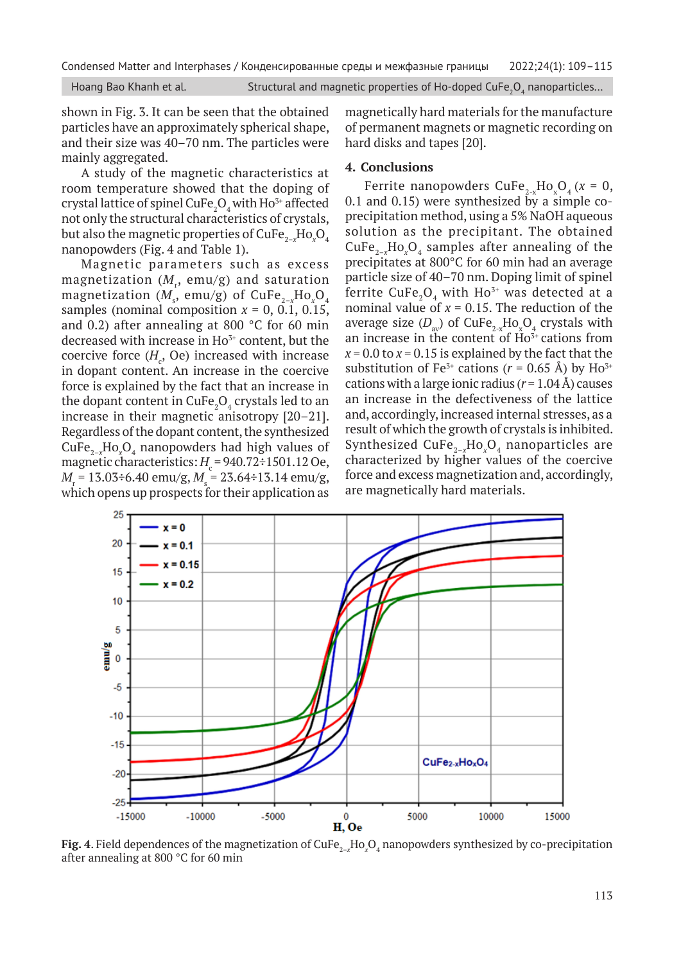shown in Fig. 3. It can be seen that the obtained particles have an approximately spherical shape, and their size was 40–70 nm. The particles were mainly aggregated.

A study of the magnetic characteristics at room temperature showed that the doping of crystal lattice of spinel CuFe $\mathrm{_2O}_4$  with Ho $\mathrm{^{3+}}$  affected not only the structural characteristics of crystals, but also the magnetic properties of CuFe<sub>2-x</sub>Ho<sub>x</sub>O<sub>4</sub> nanopowders (Fig. 4 and Table 1).

Magnetic parameters such as excess  $m$ agnetization  $(M_{\rm r},\,{\rm emu/g})$  and saturation  $\textsf{magnetization}\,\left(M_{_{\mathrm{s}}},\,\textsf{emu/g}\right)$  of  $\textsf{CuFe}_{_{2-x}}\textsf{Ho}_{_{x}}\textsf{O}_{_{4}}$ samples (nominal composition  $x = 0$ , 0.1, 0.15, and 0.2) after annealing at 800 °C for 60 min decreased with increase in  $Ho^{3+}$  content, but the coercive force  $(H_c, Oe)$  increased with increase in dopant content. An increase in the coercive force is explained by the fact that an increase in the dopant content in CuFe ${_{2}O_{_{4}}}$  crystals led to an increase in their magnetic anisotropy [20–21]. Regardless of the dopant content, the synthesized CuFe2–*<sup>x</sup>* Ho*<sup>x</sup>* O4 nanopowders had high values of magnetic characteristics:  $H_{\rm c}$  = 940.72÷1501.12 Oe, *M*<sub>r</sub> = 13.03÷6.40 emu/g, *M*<sub>s</sub> = 23.64÷13.14 emu/g, which opens up prospects for their application as

magnetically hard materials for the manufacture of permanent magnets or magnetic recording on hard disks and tapes [20].

### **4. Conclusions**

Ferrite nanopowders  $\text{CuFe}_{2-x}\text{Ho}_{x}\text{O}_{4}$  ( $x = 0$ , 0.1 and 0.15) were synthesized by a simple coprecipitation method, using a 5% NaOH aqueous solution as the precipitant. The obtained  $CuFe_{2-x}Ho_xO_4$  samples after annealing of the precipitates at 800°C for 60 min had an average particle size of 40–70 nm. Doping limit of spinel ferrite CuFe<sub>2</sub>O<sub>4</sub> with Ho<sup>3+</sup> was detected at a nominal value of  $x = 0.15$ . The reduction of the average size  $(D_{av})$  of  $CuFe_{2-x}Ho_xO_4$  crystals with an increase in the content of  $Ho^{3+}$  cations from  $x = 0.0$  to  $x = 0.15$  is explained by the fact that the substitution of Fe<sup>3+</sup> cations ( $r = 0.65$  Å) by Ho<sup>3+</sup> cations with a large ionic radius  $(r = 1.04 \text{ Å})$  causes an increase in the defectiveness of the lattice and, accordingly, increased internal stresses, as a result of which the growth of crystals is inhibited. Synthesized CuFe<sub>2-x</sub>Ho<sub>x</sub>O<sub>4</sub> nanoparticles are characterized by higher values of the coercive force and excess magnetization and, accordingly, are magnetically hard materials.



**Fig. 4**. Field dependences of the magnetization of CuFe $_{2-x}$ Ho $_{x}$ O $_{4}$  nanopowders synthesized by co-precipitation after annealing at 800 °C for 60 min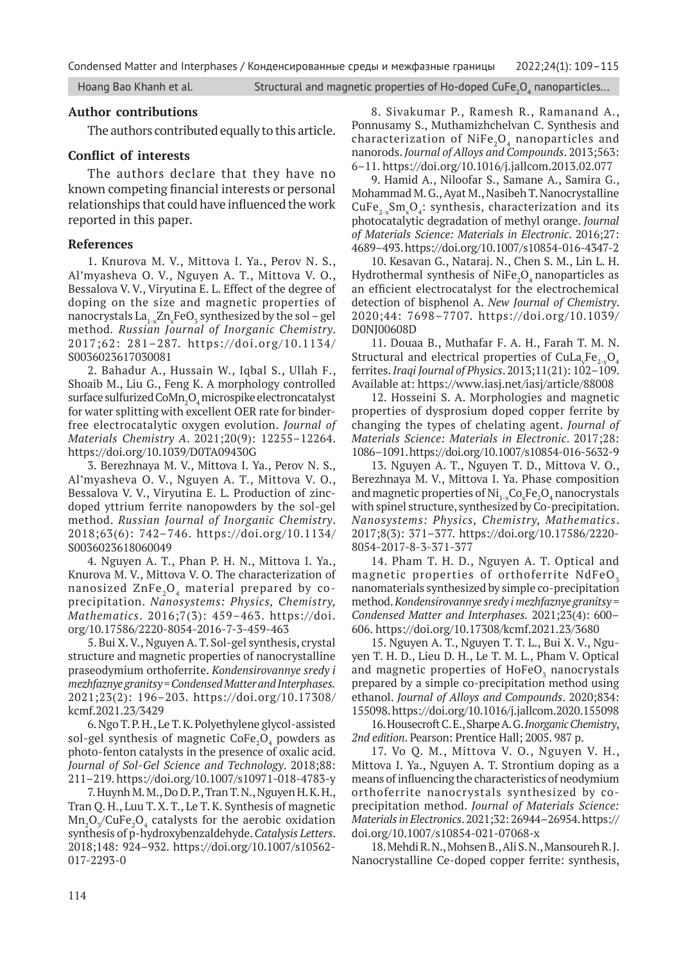Condensed Matter and Interphases / Конденсированные среды и межфазные границы 2022;24(1): 109–115

Hoang Bao Khanh et al.  $\hbox{S}$  Structural and magnetic properties of Ho-doped CuFe $_2$ O $_4$  nanoparticles...

## **Author contributions**

The authors contributed equally to this article.

# **Conflict of interests**

The authors declare that they have no known competing financial interests or personal relationships that could have influenced the work reported in this paper.

## **References**

1. Knurova M. V., Mittova I. Ya., Perov N. S., Al'myasheva O. V., Nguyen A. T., Mittova V. O., Bessalova V. V., Viryutina E. L. Effect of the degree of doping on the size and magnetic properties of nanocrystals  $\rm La_{1-x}Zn_xFeO_3$  synthesized by the sol – gel method*. Russian Journal of Inorganic Chemistry*. 2017;62: 281–287. https://doi.org/10.1134/ S0036023617030081

2. Bahadur A., Hussain W., Iqbal S., Ullah F., Shoaib M., Liu G., Feng K. A morphology controlled surface sulfurized CoM $\rm n_{_2}O_{_4}$ microspike electroncatalyst for water splitting with excellent OER rate for binderfree electrocatalytic oxygen evolution. *Journal of Materials Chemistry A*. 2021;20(9): 12255–12264. https://doi.org/10.1039/D0TA09430G

3. Berezhnaya M. V., Mittova I. Ya., Perov N. S., Al'myasheva O. V., Nguyen A. T., Mittova V. O., Bessalova V. V., Viryutina E. L. Production of zincdoped yttrium ferrite nanopowders by the sol-gel method. *Russian Journal of Inorganic Chemistry*. 2018;63(6): 742–746. https://doi.org/10.1134/ S0036023618060049

4. Nguyen A. T., Phan P. H. N., Mittova I. Ya., Knurova M. V., Mittova V. O. The characterization of nanosized ZnFe<sub>2</sub>O<sub>4</sub> material prepared by coprecipitation. *Nanosystems: Physics, Chemistry, Mathematics*. 2016;7(3): 459–463. https://doi. org/10.17586/2220-8054-2016-7-3-459-463

5. Bui X. V., Nguyen A. T. Sol-gel synthesis, crystal structure and magnetic properties of nanocrystalline praseodymium orthoferrite. *Kondensirovannye sredy i mezhfaznye granitsy = Condensed Matter and Interphases.* 2021;23(2): 196–203. https://doi.org/10.17308/ kcmf.2021.23/3429

6. Ngo T. P. H., Le T. K. Polyethylene glycol-assisted sol-gel synthesis of magnetic CoFe $\mathrm{_{2}O}_{\mathrm{_{4}}}$  powders as photo-fenton catalysts in the presence of oxalic acid. *Journal of Sol-Gel Science and Technology*. 2018;88: 211–219. https://doi.org/10.1007/s10971-018-4783-y

7. Huynh M. M., Do D. P., Tran T. N., Nguyen H. K. H., Tran Q. H., Luu T. X. T., Le T. K. Synthesis of magnetic  $\rm Mn_{_2}O_{_3}/CuFe_{_2}O_{_4}$  catalysts for the aerobic oxidation synthesis of p-hydroxybenzaldehyde. *Catalysis Letters*. 2018;148: 924–932. https://doi.org/10.1007/s10562- 017-2293-0

8. Sivakumar P., Ramesh R., Ramanand A., Ponnusamy S., Muthamizhchelvan C. Synthesis and characterization of NiFe<sub>2</sub>O<sub>4</sub> nanoparticles and nanorods. *Journal of Alloys and Compounds*. 2013;563: 6–11. https://doi.org/10.1016/j.jallcom.2013.02.077

9. Hamid A., Niloofar S., Samane A., Samira G., Mohammad M. G., Ayat M., Nasibeh T. Nanocrystalline  $\text{CuFe}_{2-x}\text{Sm}_{x}\text{O}_{4}$ : synthesis, characterization and its photocatalytic degradation of methyl orange. *Journal of Materials Science: Materials in Electronic*. 2016;27: 4689–493. https://doi.org/10.1007/s10854-016-4347-2

10. Kesavan G., Nataraj. N., Chen S. M., Lin L. H. Hydrothermal synthesis of NiFe<sub>2</sub>O<sub>4</sub> nanoparticles as an efficient electrocatalyst for the electrochemical detection of bisphenol A. *New Journal of Chemistry*. 2020;44: 7698–7707. https://doi.org/10.1039/ D0NJ00608D

11. Douaa B., Muthafar F. A. H., Farah T. M. N. Structural and electrical properties of  $CuLa<sub>y</sub>Fe<sub>2-y</sub>O<sub>4</sub>$ ferrites. *Iraqi Journal of Physics*. 2013;11(21): 102–109. Available at: https://www.iasj.net/iasj/article/88008

12. Hosseini S. A. Morphologies and magnetic properties of dysprosium doped copper ferrite by changing the types of chelating agent. *Journal of Materials Science: Materials in Electronic*. 2017;28: 1086–1091. https://doi.org/10.1007/s10854-016-5632-9

13. Nguyen A. T., Nguyen T. D., Mittova V. O., Berezhnaya M. V., Mittova I. Ya. Phase composition and magnetic properties of  $\mathrm{Ni_{1-x}Co_{x}Fe_{2}O_{4}}$  nanocrystals with spinel structure, synthesized by Co-precipitation. *Nanosystems: Physics, Chemistry, Mathematics*. 2017;8(3): 371–377. https://doi.org/10.17586/2220- 8054-2017-8-3-371-377

14. Pham T. H. D., Nguyen A. T. Optical and magnetic properties of orthoferrite NdFeO<sub>z</sub> nanomaterials synthesized by simple co-precipitation method. *Kondensirovannye sredy i mezhfaznye granitsy = Condensed Matter and Interphases.* 2021;23(4): 600– 606. https://doi.org/10.17308/kcmf.2021.23/3680

15. Nguyen A. T., Nguyen T. T. L., Bui X. V., Nguyen T. H. D., Lieu D. H., Le T. M. L., Pham V. Optical and magnetic properties of  $HoFeO<sub>3</sub>$  nanocrystals prepared by a simple co-precipitation method using ethanol. *Journal of Alloys and Compounds*. 2020;834: 155098. https://doi.org/10.1016/j.jallcom.2020.155098

16. Housecroft C. E., Sharpe A. G. *Inorganic Chemistry*, *2nd edition*. Pearson: Prentice Hall; 2005. 987 p.

17. Vo Q. M., Mittova V. O., Nguyen V. H., Mittova I. Ya., Nguyen A. T. Strontium doping as a means of influencing the characteristics of neodymium orthoferrite nanocrystals synthesized by coprecipitation method. *Journal of Materials Science: Materials in Electronics*. 2021;32: 26944–26954. https:// doi.org/10.1007/s10854-021-07068-x

18. Mehdi R. N., Mohsen B., Ali S. N., Mansoureh R. J. Nanocrystalline Ce-doped copper ferrite: synthesis,